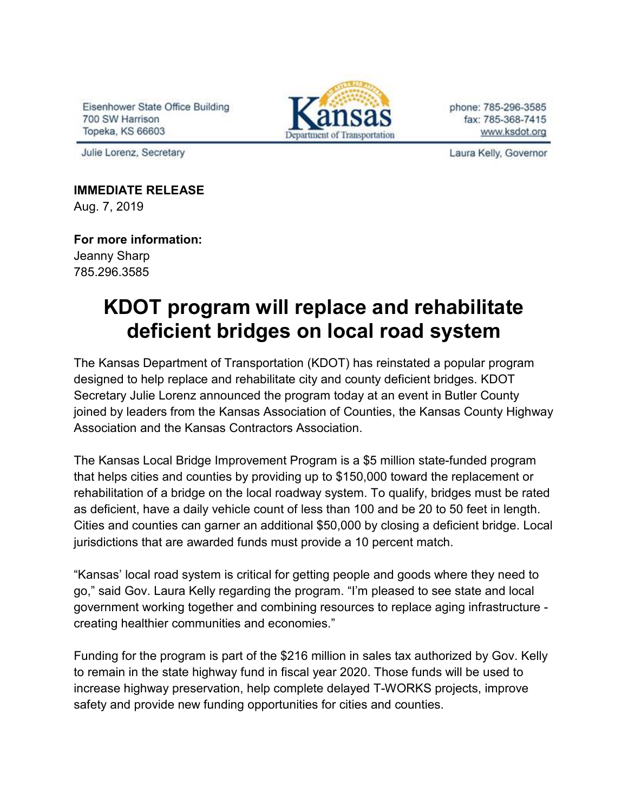Eisenhower State Office Building 700 SW Harrison Topeka, KS 66603

Julie Lorenz, Secretary



phone: 785-296-3585 fax: 785-368-7415 www.ksdot.org

Laura Kelly, Governor

**IMMEDIATE RELEASE** Aug. 7, 2019

**For more information:** Jeanny Sharp 785.296.3585

## **KDOT program will replace and rehabilitate deficient bridges on local road system**

The Kansas Department of Transportation (KDOT) has reinstated a popular program designed to help replace and rehabilitate city and county deficient bridges. KDOT Secretary Julie Lorenz announced the program today at an event in Butler County joined by leaders from the Kansas Association of Counties, the Kansas County Highway Association and the Kansas Contractors Association.

The Kansas Local Bridge Improvement Program is a \$5 million state-funded program that helps cities and counties by providing up to \$150,000 toward the replacement or rehabilitation of a bridge on the local roadway system. To qualify, bridges must be rated as deficient, have a daily vehicle count of less than 100 and be 20 to 50 feet in length. Cities and counties can garner an additional \$50,000 by closing a deficient bridge. Local jurisdictions that are awarded funds must provide a 10 percent match.

"Kansas' local road system is critical for getting people and goods where they need to go," said Gov. Laura Kelly regarding the program. "I'm pleased to see state and local government working together and combining resources to replace aging infrastructure creating healthier communities and economies."

Funding for the program is part of the \$216 million in sales tax authorized by Gov. Kelly to remain in the state highway fund in fiscal year 2020. Those funds will be used to increase highway preservation, help complete delayed T-WORKS projects, improve safety and provide new funding opportunities for cities and counties.